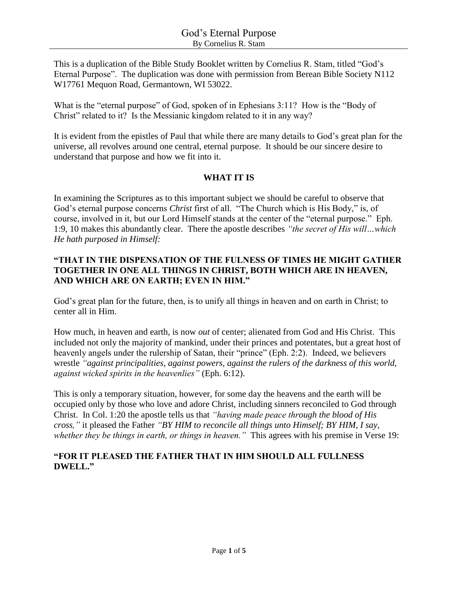This is a duplication of the Bible Study Booklet written by Cornelius R. Stam, titled "God's Eternal Purpose". The duplication was done with permission from Berean Bible Society N112 W17761 Mequon Road, Germantown, WI 53022.

What is the "eternal purpose" of God, spoken of in Ephesians 3:11? How is the "Body of Christ" related to it? Is the Messianic kingdom related to it in any way?

It is evident from the epistles of Paul that while there are many details to God's great plan for the universe, all revolves around one central, eternal purpose. It should be our sincere desire to understand that purpose and how we fit into it.

## **WHAT IT IS**

In examining the Scriptures as to this important subject we should be careful to observe that God's eternal purpose concerns *Christ* first of all. "The Church which is His Body," is, of course, involved in it, but our Lord Himself stands at the center of the "eternal purpose." Eph. 1:9, 10 makes this abundantly clear. There the apostle describes *"the secret of His will…which He hath purposed in Himself:*

## **"THAT IN THE DISPENSATION OF THE FULNESS OF TIMES HE MIGHT GATHER TOGETHER IN ONE ALL THINGS IN CHRIST, BOTH WHICH ARE IN HEAVEN, AND WHICH ARE ON EARTH; EVEN IN HIM."**

God's great plan for the future, then, is to unify all things in heaven and on earth in Christ; to center all in Him.

How much, in heaven and earth, is now *out* of center; alienated from God and His Christ. This included not only the majority of mankind, under their princes and potentates, but a great host of heavenly angels under the rulership of Satan, their "prince" (Eph. 2:2). Indeed, we believers wrestle *"against principalities, against powers, against the rulers of the darkness of this world, against wicked spirits in the heavenlies"* (Eph. 6:12).

This is only a temporary situation, however, for some day the heavens and the earth will be occupied only by those who love and adore Christ, including sinners reconciled to God through Christ. In Col. 1:20 the apostle tells us that *"having made peace through the blood of His cross,"* it pleased the Father *"BY HIM to reconcile all things unto Himself; BY HIM, I say, whether they be things in earth, or things in heaven."* This agrees with his premise in Verse 19:

## **"FOR IT PLEASED THE FATHER THAT IN HIM SHOULD ALL FULLNESS DWELL."**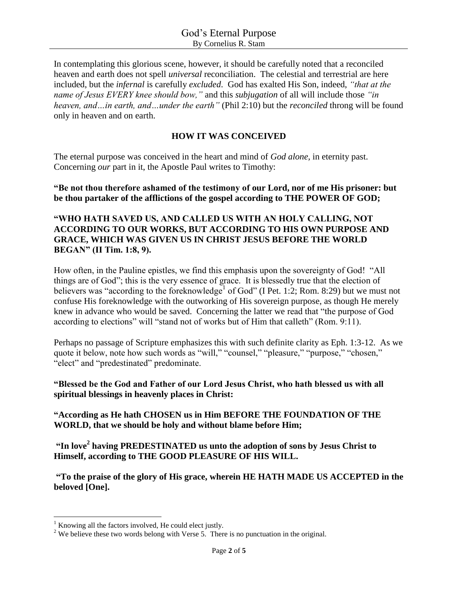In contemplating this glorious scene, however, it should be carefully noted that a reconciled heaven and earth does not spell *universal* reconciliation. The celestial and terrestrial are here included, but the *infernal* is carefully *excluded*. God has exalted His Son, indeed, *"that at the name of Jesus EVERY knee should bow,"* and this *subjugation* of all will include those *"in heaven, and…in earth, and…under the earth"* (Phil 2:10) but the *reconciled* throng will be found only in heaven and on earth.

## **HOW IT WAS CONCEIVED**

The eternal purpose was conceived in the heart and mind of *God alone,* in eternity past. Concerning *our* part in it, the Apostle Paul writes to Timothy:

**"Be not thou therefore ashamed of the testimony of our Lord, nor of me His prisoner: but be thou partaker of the afflictions of the gospel according to THE POWER OF GOD;**

### **"WHO HATH SAVED US, AND CALLED US WITH AN HOLY CALLING, NOT ACCORDING TO OUR WORKS, BUT ACCORDING TO HIS OWN PURPOSE AND GRACE, WHICH WAS GIVEN US IN CHRIST JESUS BEFORE THE WORLD BEGAN" (II Tim. 1:8, 9).**

How often, in the Pauline epistles, we find this emphasis upon the sovereignty of God! "All things are of God"; this is the very essence of grace. It is blessedly true that the election of believers was "according to the foreknowledge<sup>1</sup> of God" (I Pet. 1:2; Rom. 8:29) but we must not confuse His foreknowledge with the outworking of His sovereign purpose, as though He merely knew in advance who would be saved. Concerning the latter we read that "the purpose of God according to elections" will "stand not of works but of Him that calleth" (Rom. 9:11).

Perhaps no passage of Scripture emphasizes this with such definite clarity as Eph. 1:3-12. As we quote it below, note how such words as "will," "counsel," "pleasure," "purpose," "chosen," "elect" and "predestinated" predominate.

#### **"Blessed be the God and Father of our Lord Jesus Christ, who hath blessed us with all spiritual blessings in heavenly places in Christ:**

## **"According as He hath CHOSEN us in Him BEFORE THE FOUNDATION OF THE WORLD, that we should be holy and without blame before Him;**

**"In love<sup>2</sup> having PREDESTINATED us unto the adoption of sons by Jesus Christ to Himself, according to THE GOOD PLEASURE OF HIS WILL.**

**"To the praise of the glory of His grace, wherein HE HATH MADE US ACCEPTED in the beloved [One].**

 $\overline{\phantom{a}}$ 

 $1$  Knowing all the factors involved, He could elect justly.

 $2$  We believe these two words belong with Verse 5. There is no punctuation in the original.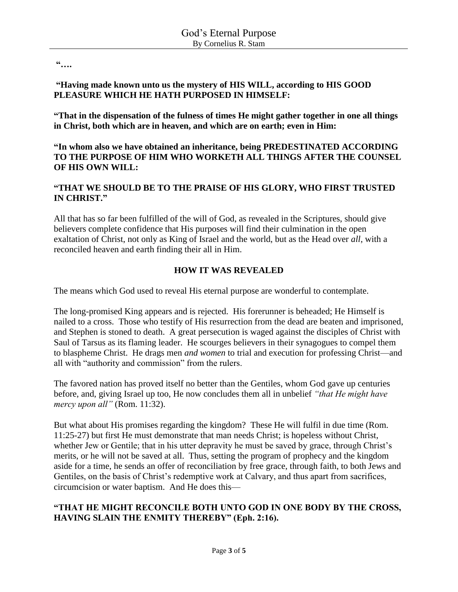**"….**

#### **"Having made known unto us the mystery of HIS WILL, according to HIS GOOD PLEASURE WHICH HE HATH PURPOSED IN HIMSELF:**

**"That in the dispensation of the fulness of times He might gather together in one all things in Christ, both which are in heaven, and which are on earth; even in Him:** 

**"In whom also we have obtained an inheritance, being PREDESTINATED ACCORDING TO THE PURPOSE OF HIM WHO WORKETH ALL THINGS AFTER THE COUNSEL OF HIS OWN WILL:**

## **"THAT WE SHOULD BE TO THE PRAISE OF HIS GLORY, WHO FIRST TRUSTED IN CHRIST."**

All that has so far been fulfilled of the will of God, as revealed in the Scriptures, should give believers complete confidence that His purposes will find their culmination in the open exaltation of Christ, not only as King of Israel and the world, but as the Head over *all*, with a reconciled heaven and earth finding their all in Him.

# **HOW IT WAS REVEALED**

The means which God used to reveal His eternal purpose are wonderful to contemplate.

The long-promised King appears and is rejected. His forerunner is beheaded; He Himself is nailed to a cross. Those who testify of His resurrection from the dead are beaten and imprisoned, and Stephen is stoned to death. A great persecution is waged against the disciples of Christ with Saul of Tarsus as its flaming leader. He scourges believers in their synagogues to compel them to blaspheme Christ. He drags men *and women* to trial and execution for professing Christ—and all with "authority and commission" from the rulers.

The favored nation has proved itself no better than the Gentiles, whom God gave up centuries before, and, giving Israel up too, He now concludes them all in unbelief *"that He might have mercy upon all"* (Rom. 11:32).

But what about His promises regarding the kingdom? These He will fulfil in due time (Rom. 11:25-27) but first He must demonstrate that man needs Christ; is hopeless without Christ, whether Jew or Gentile; that in his utter depravity he must be saved by grace, through Christ's merits, or he will not be saved at all. Thus, setting the program of prophecy and the kingdom aside for a time, he sends an offer of reconciliation by free grace, through faith, to both Jews and Gentiles, on the basis of Christ's redemptive work at Calvary, and thus apart from sacrifices, circumcision or water baptism. And He does this—

## **"THAT HE MIGHT RECONCILE BOTH UNTO GOD IN ONE BODY BY THE CROSS, HAVING SLAIN THE ENMITY THEREBY" (Eph. 2:16).**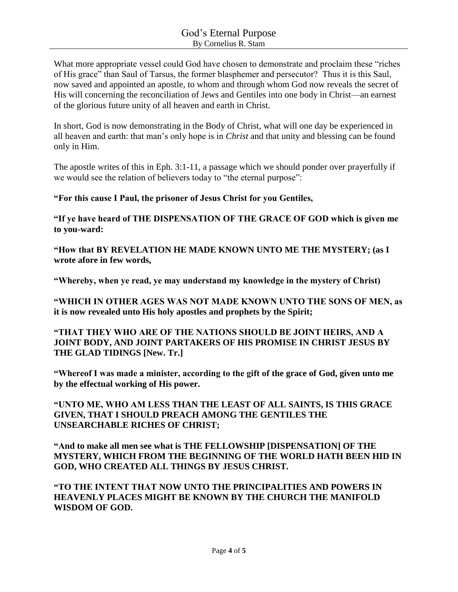What more appropriate vessel could God have chosen to demonstrate and proclaim these "riches of His grace" than Saul of Tarsus, the former blasphemer and persecutor? Thus it is this Saul, now saved and appointed an apostle, to whom and through whom God now reveals the secret of His will concerning the reconciliation of Jews and Gentiles into one body in Christ—an earnest of the glorious future unity of all heaven and earth in Christ.

In short, God is now demonstrating in the Body of Christ, what will one day be experienced in all heaven and earth: that man's only hope is in *Christ* and that unity and blessing can be found only in Him.

The apostle writes of this in Eph. 3:1-11, a passage which we should ponder over prayerfully if we would see the relation of believers today to "the eternal purpose":

**"For this cause I Paul, the prisoner of Jesus Christ for you Gentiles,**

**"If ye have heard of THE DISPENSATION OF THE GRACE OF GOD which is given me to you-ward:**

**"How that BY REVELATION HE MADE KNOWN UNTO ME THE MYSTERY; (as I wrote afore in few words,**

**"Whereby, when ye read, ye may understand my knowledge in the mystery of Christ)**

**"WHICH IN OTHER AGES WAS NOT MADE KNOWN UNTO THE SONS OF MEN, as it is now revealed unto His holy apostles and prophets by the Spirit;**

**"THAT THEY WHO ARE OF THE NATIONS SHOULD BE JOINT HEIRS, AND A JOINT BODY, AND JOINT PARTAKERS OF HIS PROMISE IN CHRIST JESUS BY THE GLAD TIDINGS [New. Tr.]**

**"Whereof I was made a minister, according to the gift of the grace of God, given unto me by the effectual working of His power.**

**"UNTO ME, WHO AM LESS THAN THE LEAST OF ALL SAINTS, IS THIS GRACE GIVEN, THAT I SHOULD PREACH AMONG THE GENTILES THE UNSEARCHABLE RICHES OF CHRIST;**

**"And to make all men see what is THE FELLOWSHIP [DISPENSATION] OF THE MYSTERY, WHICH FROM THE BEGINNING OF THE WORLD HATH BEEN HID IN GOD, WHO CREATED ALL THINGS BY JESUS CHRIST.**

**"TO THE INTENT THAT NOW UNTO THE PRINCIPALITIES AND POWERS IN HEAVENLY PLACES MIGHT BE KNOWN BY THE CHURCH THE MANIFOLD WISDOM OF GOD.**